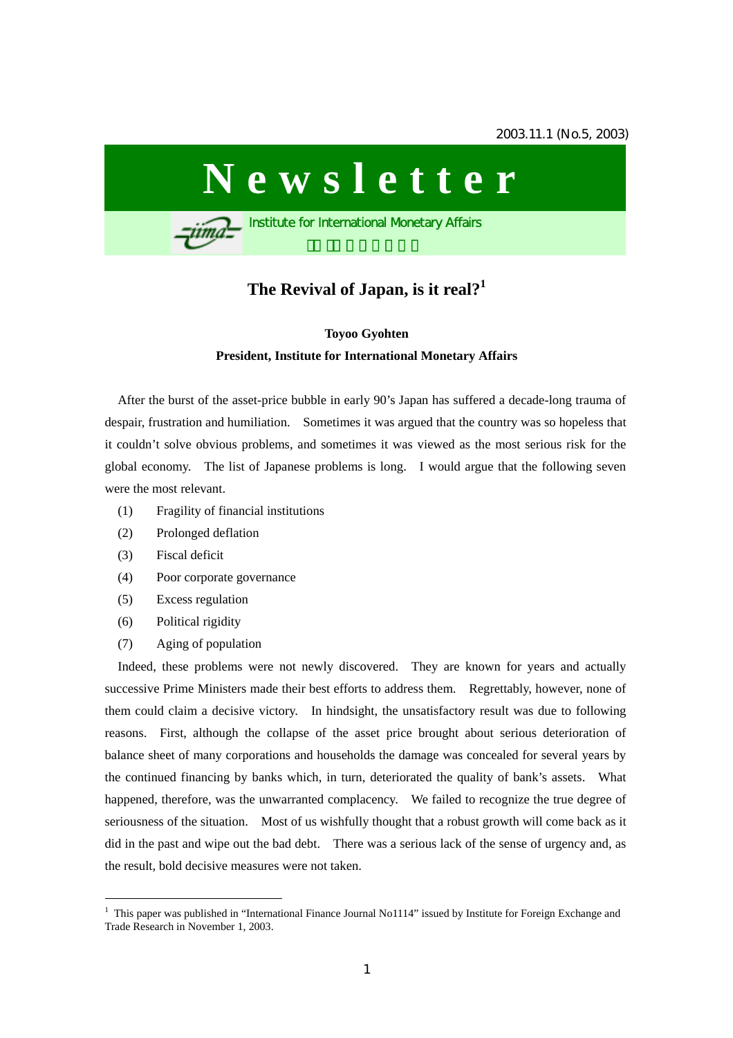

# **The Revival of Japan, is it real?[1](#page-0-0)**

## **Toyoo Gyohten President, Institute for International Monetary Affairs**

After the burst of the asset-price bubble in early 90's Japan has suffered a decade-long trauma of despair, frustration and humiliation. Sometimes it was argued that the country was so hopeless that it couldn't solve obvious problems, and sometimes it was viewed as the most serious risk for the global economy. The list of Japanese problems is long. I would argue that the following seven were the most relevant.

- (1) Fragility of financial institutions
- (2) Prolonged deflation
- (3) Fiscal deficit
- (4) Poor corporate governance
- (5) Excess regulation
- (6) Political rigidity

 $\overline{a}$ 

(7) Aging of population

Indeed, these problems were not newly discovered. They are known for years and actually successive Prime Ministers made their best efforts to address them. Regrettably, however, none of them could claim a decisive victory. In hindsight, the unsatisfactory result was due to following reasons. First, although the collapse of the asset price brought about serious deterioration of balance sheet of many corporations and households the damage was concealed for several years by the continued financing by banks which, in turn, deteriorated the quality of bank's assets. What happened, therefore, was the unwarranted complacency. We failed to recognize the true degree of seriousness of the situation. Most of us wishfully thought that a robust growth will come back as it did in the past and wipe out the bad debt. There was a serious lack of the sense of urgency and, as the result, bold decisive measures were not taken.

<span id="page-0-0"></span><sup>&</sup>lt;sup>1</sup> This paper was published in "International Finance Journal No1114" issued by Institute for Foreign Exchange and Trade Research in November 1, 2003.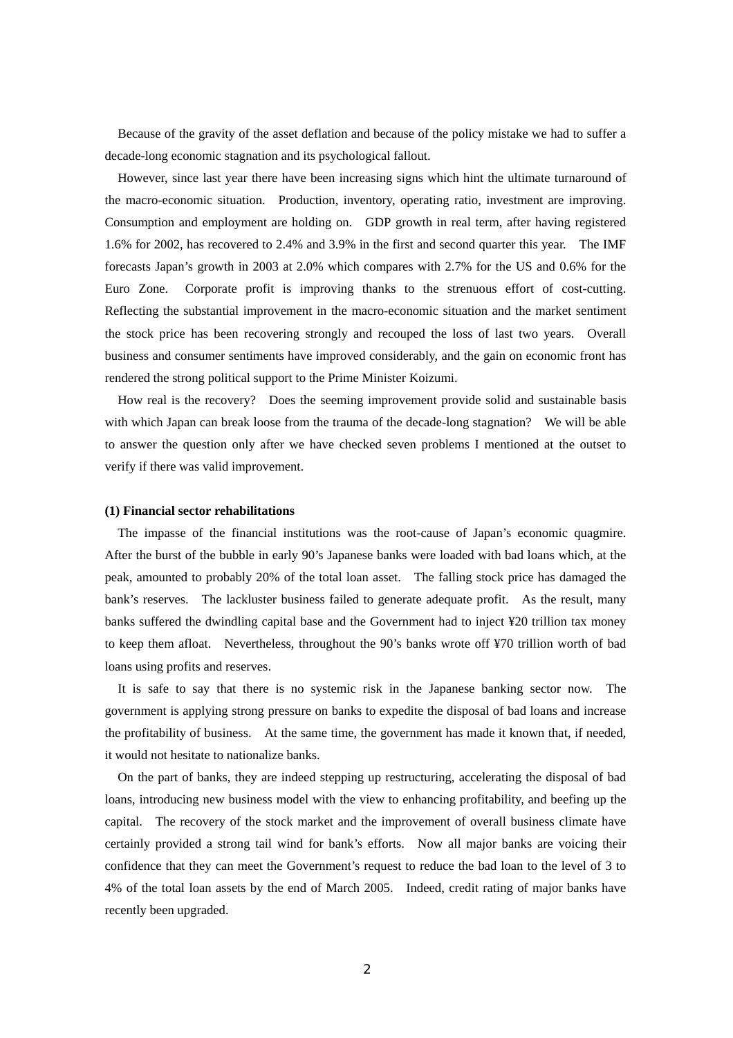Because of the gravity of the asset deflation and because of the policy mistake we had to suffer a decade-long economic stagnation and its psychological fallout.

However, since last year there have been increasing signs which hint the ultimate turnaround of the macro-economic situation. Production, inventory, operating ratio, investment are improving. Consumption and employment are holding on. GDP growth in real term, after having registered 1.6% for 2002, has recovered to 2.4% and 3.9% in the first and second quarter this year. The IMF forecasts Japan's growth in 2003 at 2.0% which compares with 2.7% for the US and 0.6% for the Euro Zone. Corporate profit is improving thanks to the strenuous effort of cost-cutting. Reflecting the substantial improvement in the macro-economic situation and the market sentiment the stock price has been recovering strongly and recouped the loss of last two years. Overall business and consumer sentiments have improved considerably, and the gain on economic front has rendered the strong political support to the Prime Minister Koizumi.

How real is the recovery? Does the seeming improvement provide solid and sustainable basis with which Japan can break loose from the trauma of the decade-long stagnation? We will be able to answer the question only after we have checked seven problems I mentioned at the outset to verify if there was valid improvement.

#### **(1) Financial sector rehabilitations**

The impasse of the financial institutions was the root-cause of Japan's economic quagmire. After the burst of the bubble in early 90's Japanese banks were loaded with bad loans which, at the peak, amounted to probably 20% of the total loan asset. The falling stock price has damaged the bank's reserves. The lackluster business failed to generate adequate profit. As the result, many banks suffered the dwindling capital base and the Government had to inject ¥20 trillion tax money to keep them afloat. Nevertheless, throughout the 90's banks wrote off ¥70 trillion worth of bad loans using profits and reserves.

It is safe to say that there is no systemic risk in the Japanese banking sector now. The government is applying strong pressure on banks to expedite the disposal of bad loans and increase the profitability of business. At the same time, the government has made it known that, if needed, it would not hesitate to nationalize banks.

On the part of banks, they are indeed stepping up restructuring, accelerating the disposal of bad loans, introducing new business model with the view to enhancing profitability, and beefing up the capital. The recovery of the stock market and the improvement of overall business climate have certainly provided a strong tail wind for bank's efforts. Now all major banks are voicing their confidence that they can meet the Government's request to reduce the bad loan to the level of 3 to 4% of the total loan assets by the end of March 2005. Indeed, credit rating of major banks have recently been upgraded.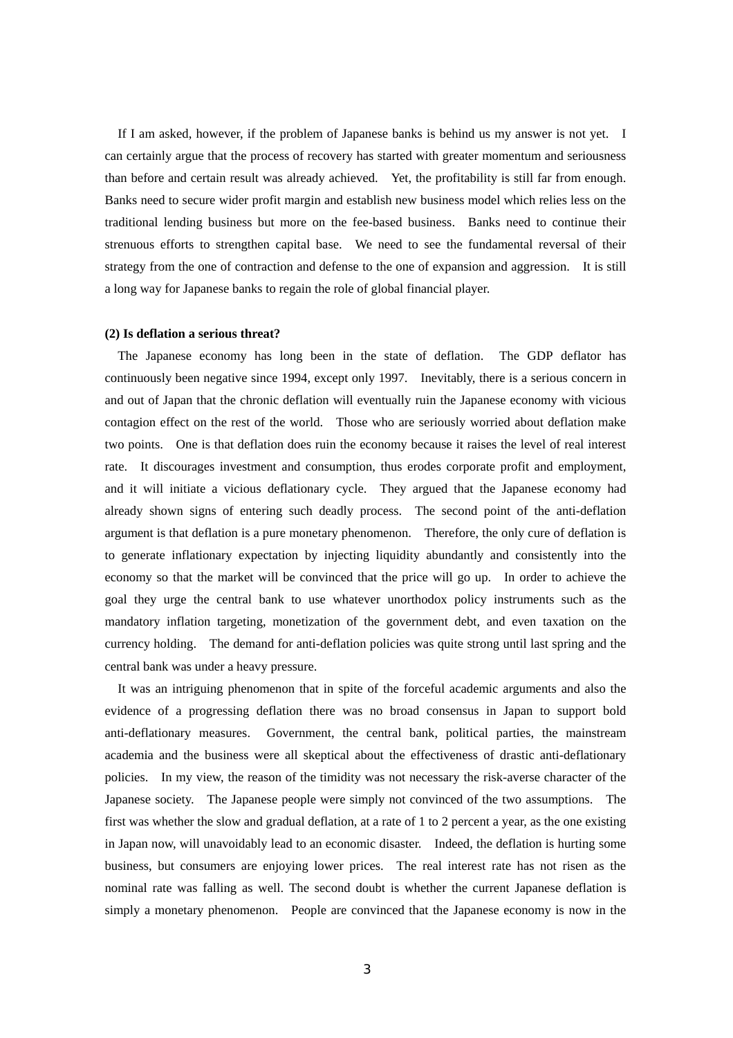If I am asked, however, if the problem of Japanese banks is behind us my answer is not yet. I can certainly argue that the process of recovery has started with greater momentum and seriousness than before and certain result was already achieved. Yet, the profitability is still far from enough. Banks need to secure wider profit margin and establish new business model which relies less on the traditional lending business but more on the fee-based business. Banks need to continue their strenuous efforts to strengthen capital base. We need to see the fundamental reversal of their strategy from the one of contraction and defense to the one of expansion and aggression. It is still a long way for Japanese banks to regain the role of global financial player.

#### **(2) Is deflation a serious threat?**

The Japanese economy has long been in the state of deflation. The GDP deflator has continuously been negative since 1994, except only 1997. Inevitably, there is a serious concern in and out of Japan that the chronic deflation will eventually ruin the Japanese economy with vicious contagion effect on the rest of the world. Those who are seriously worried about deflation make two points. One is that deflation does ruin the economy because it raises the level of real interest rate. It discourages investment and consumption, thus erodes corporate profit and employment, and it will initiate a vicious deflationary cycle. They argued that the Japanese economy had already shown signs of entering such deadly process. The second point of the anti-deflation argument is that deflation is a pure monetary phenomenon. Therefore, the only cure of deflation is to generate inflationary expectation by injecting liquidity abundantly and consistently into the economy so that the market will be convinced that the price will go up. In order to achieve the goal they urge the central bank to use whatever unorthodox policy instruments such as the mandatory inflation targeting, monetization of the government debt, and even taxation on the currency holding. The demand for anti-deflation policies was quite strong until last spring and the central bank was under a heavy pressure.

It was an intriguing phenomenon that in spite of the forceful academic arguments and also the evidence of a progressing deflation there was no broad consensus in Japan to support bold anti-deflationary measures. Government, the central bank, political parties, the mainstream academia and the business were all skeptical about the effectiveness of drastic anti-deflationary policies. In my view, the reason of the timidity was not necessary the risk-averse character of the Japanese society. The Japanese people were simply not convinced of the two assumptions. The first was whether the slow and gradual deflation, at a rate of 1 to 2 percent a year, as the one existing in Japan now, will unavoidably lead to an economic disaster. Indeed, the deflation is hurting some business, but consumers are enjoying lower prices. The real interest rate has not risen as the nominal rate was falling as well. The second doubt is whether the current Japanese deflation is simply a monetary phenomenon. People are convinced that the Japanese economy is now in the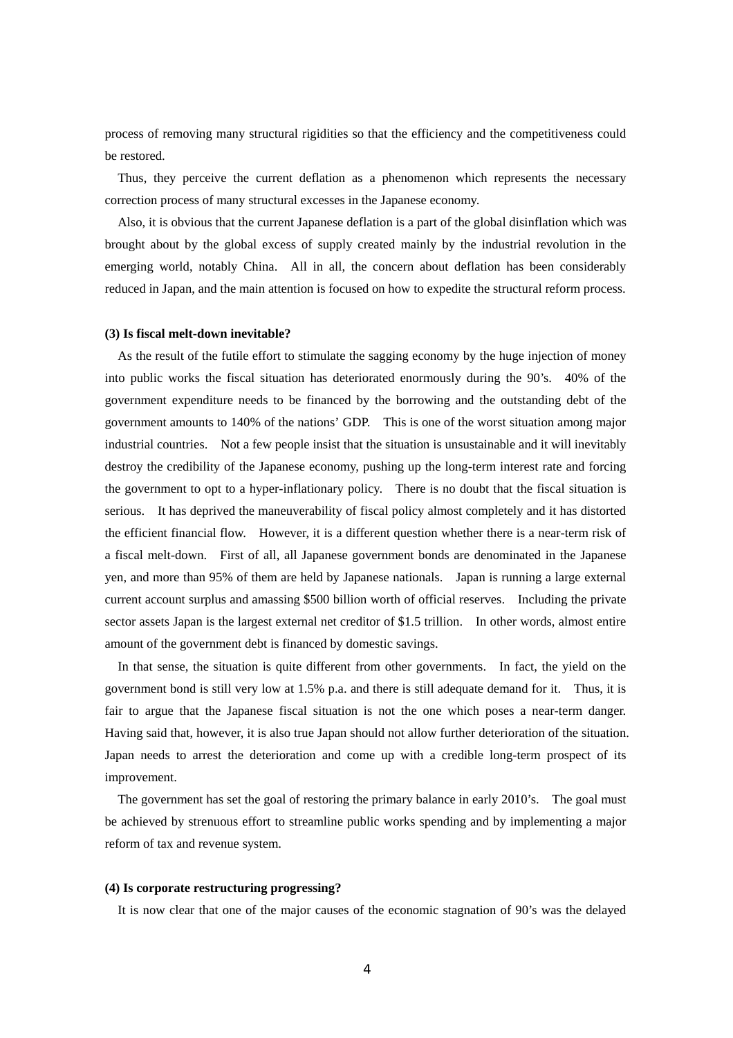process of removing many structural rigidities so that the efficiency and the competitiveness could be restored.

Thus, they perceive the current deflation as a phenomenon which represents the necessary correction process of many structural excesses in the Japanese economy.

Also, it is obvious that the current Japanese deflation is a part of the global disinflation which was brought about by the global excess of supply created mainly by the industrial revolution in the emerging world, notably China. All in all, the concern about deflation has been considerably reduced in Japan, and the main attention is focused on how to expedite the structural reform process.

#### **(3) Is fiscal melt-down inevitable?**

As the result of the futile effort to stimulate the sagging economy by the huge injection of money into public works the fiscal situation has deteriorated enormously during the 90's. 40% of the government expenditure needs to be financed by the borrowing and the outstanding debt of the government amounts to 140% of the nations' GDP. This is one of the worst situation among major industrial countries. Not a few people insist that the situation is unsustainable and it will inevitably destroy the credibility of the Japanese economy, pushing up the long-term interest rate and forcing the government to opt to a hyper-inflationary policy. There is no doubt that the fiscal situation is serious. It has deprived the maneuverability of fiscal policy almost completely and it has distorted the efficient financial flow. However, it is a different question whether there is a near-term risk of a fiscal melt-down. First of all, all Japanese government bonds are denominated in the Japanese yen, and more than 95% of them are held by Japanese nationals. Japan is running a large external current account surplus and amassing \$500 billion worth of official reserves. Including the private sector assets Japan is the largest external net creditor of \$1.5 trillion. In other words, almost entire amount of the government debt is financed by domestic savings.

In that sense, the situation is quite different from other governments. In fact, the yield on the government bond is still very low at 1.5% p.a. and there is still adequate demand for it. Thus, it is fair to argue that the Japanese fiscal situation is not the one which poses a near-term danger. Having said that, however, it is also true Japan should not allow further deterioration of the situation. Japan needs to arrest the deterioration and come up with a credible long-term prospect of its improvement.

The government has set the goal of restoring the primary balance in early 2010's. The goal must be achieved by strenuous effort to streamline public works spending and by implementing a major reform of tax and revenue system.

#### **(4) Is corporate restructuring progressing?**

It is now clear that one of the major causes of the economic stagnation of 90's was the delayed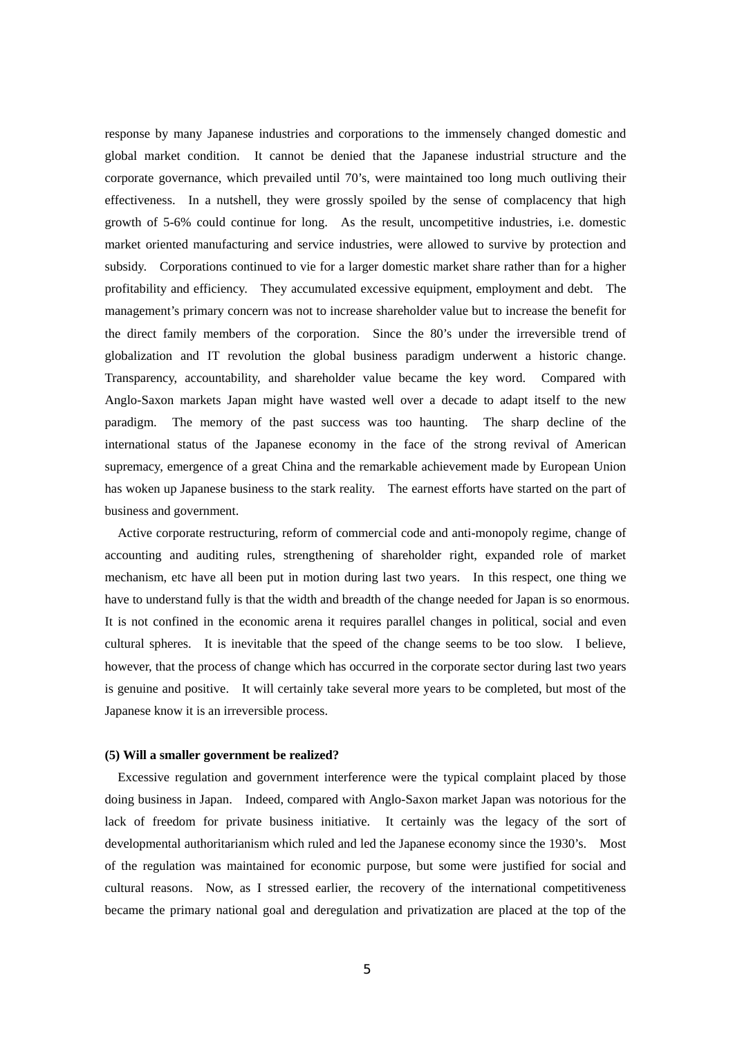response by many Japanese industries and corporations to the immensely changed domestic and global market condition. It cannot be denied that the Japanese industrial structure and the corporate governance, which prevailed until 70's, were maintained too long much outliving their effectiveness. In a nutshell, they were grossly spoiled by the sense of complacency that high growth of 5-6% could continue for long. As the result, uncompetitive industries, i.e. domestic market oriented manufacturing and service industries, were allowed to survive by protection and subsidy. Corporations continued to vie for a larger domestic market share rather than for a higher profitability and efficiency. They accumulated excessive equipment, employment and debt. The management's primary concern was not to increase shareholder value but to increase the benefit for the direct family members of the corporation. Since the 80's under the irreversible trend of globalization and IT revolution the global business paradigm underwent a historic change. Transparency, accountability, and shareholder value became the key word. Compared with Anglo-Saxon markets Japan might have wasted well over a decade to adapt itself to the new paradigm. The memory of the past success was too haunting. The sharp decline of the international status of the Japanese economy in the face of the strong revival of American supremacy, emergence of a great China and the remarkable achievement made by European Union has woken up Japanese business to the stark reality. The earnest efforts have started on the part of business and government.

Active corporate restructuring, reform of commercial code and anti-monopoly regime, change of accounting and auditing rules, strengthening of shareholder right, expanded role of market mechanism, etc have all been put in motion during last two years. In this respect, one thing we have to understand fully is that the width and breadth of the change needed for Japan is so enormous. It is not confined in the economic arena it requires parallel changes in political, social and even cultural spheres. It is inevitable that the speed of the change seems to be too slow. I believe, however, that the process of change which has occurred in the corporate sector during last two years is genuine and positive. It will certainly take several more years to be completed, but most of the Japanese know it is an irreversible process.

#### **(5) Will a smaller government be realized?**

Excessive regulation and government interference were the typical complaint placed by those doing business in Japan. Indeed, compared with Anglo-Saxon market Japan was notorious for the lack of freedom for private business initiative. It certainly was the legacy of the sort of developmental authoritarianism which ruled and led the Japanese economy since the 1930's. Most of the regulation was maintained for economic purpose, but some were justified for social and cultural reasons. Now, as I stressed earlier, the recovery of the international competitiveness became the primary national goal and deregulation and privatization are placed at the top of the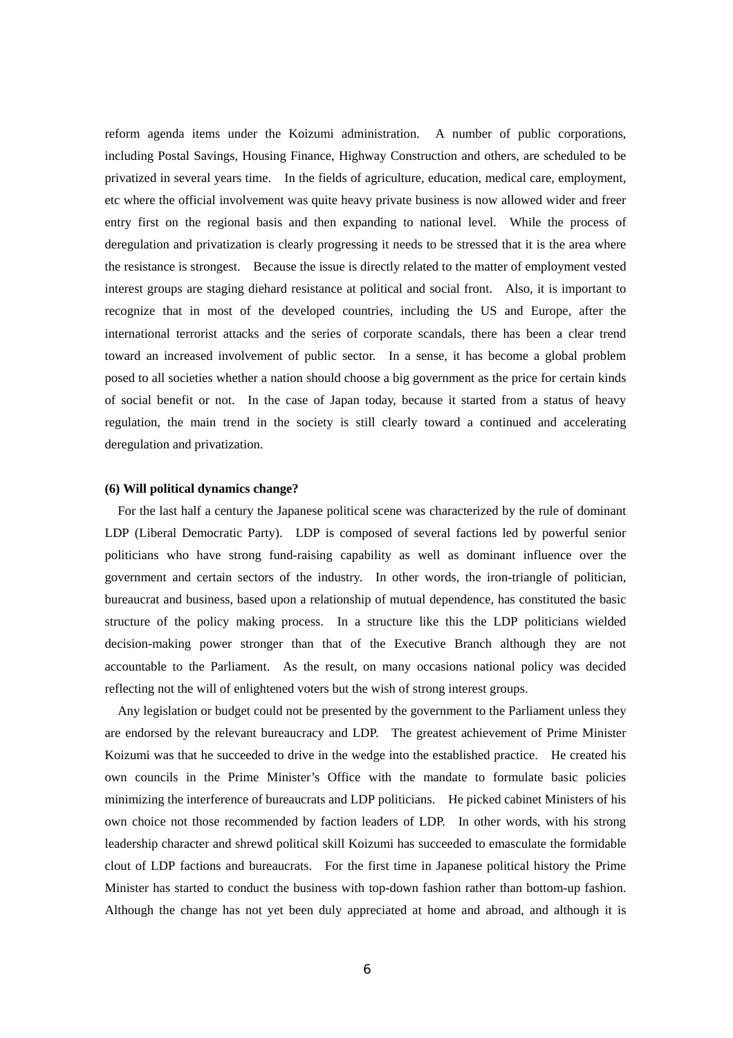reform agenda items under the Koizumi administration. A number of public corporations, including Postal Savings, Housing Finance, Highway Construction and others, are scheduled to be privatized in several years time. In the fields of agriculture, education, medical care, employment, etc where the official involvement was quite heavy private business is now allowed wider and freer entry first on the regional basis and then expanding to national level. While the process of deregulation and privatization is clearly progressing it needs to be stressed that it is the area where the resistance is strongest. Because the issue is directly related to the matter of employment vested interest groups are staging diehard resistance at political and social front. Also, it is important to recognize that in most of the developed countries, including the US and Europe, after the international terrorist attacks and the series of corporate scandals, there has been a clear trend toward an increased involvement of public sector. In a sense, it has become a global problem posed to all societies whether a nation should choose a big government as the price for certain kinds of social benefit or not. In the case of Japan today, because it started from a status of heavy regulation, the main trend in the society is still clearly toward a continued and accelerating deregulation and privatization.

#### **(6) Will political dynamics change?**

For the last half a century the Japanese political scene was characterized by the rule of dominant LDP (Liberal Democratic Party). LDP is composed of several factions led by powerful senior politicians who have strong fund-raising capability as well as dominant influence over the government and certain sectors of the industry. In other words, the iron-triangle of politician, bureaucrat and business, based upon a relationship of mutual dependence, has constituted the basic structure of the policy making process. In a structure like this the LDP politicians wielded decision-making power stronger than that of the Executive Branch although they are not accountable to the Parliament. As the result, on many occasions national policy was decided reflecting not the will of enlightened voters but the wish of strong interest groups.

Any legislation or budget could not be presented by the government to the Parliament unless they are endorsed by the relevant bureaucracy and LDP. The greatest achievement of Prime Minister Koizumi was that he succeeded to drive in the wedge into the established practice. He created his own councils in the Prime Minister's Office with the mandate to formulate basic policies minimizing the interference of bureaucrats and LDP politicians. He picked cabinet Ministers of his own choice not those recommended by faction leaders of LDP. In other words, with his strong leadership character and shrewd political skill Koizumi has succeeded to emasculate the formidable clout of LDP factions and bureaucrats. For the first time in Japanese political history the Prime Minister has started to conduct the business with top-down fashion rather than bottom-up fashion. Although the change has not yet been duly appreciated at home and abroad, and although it is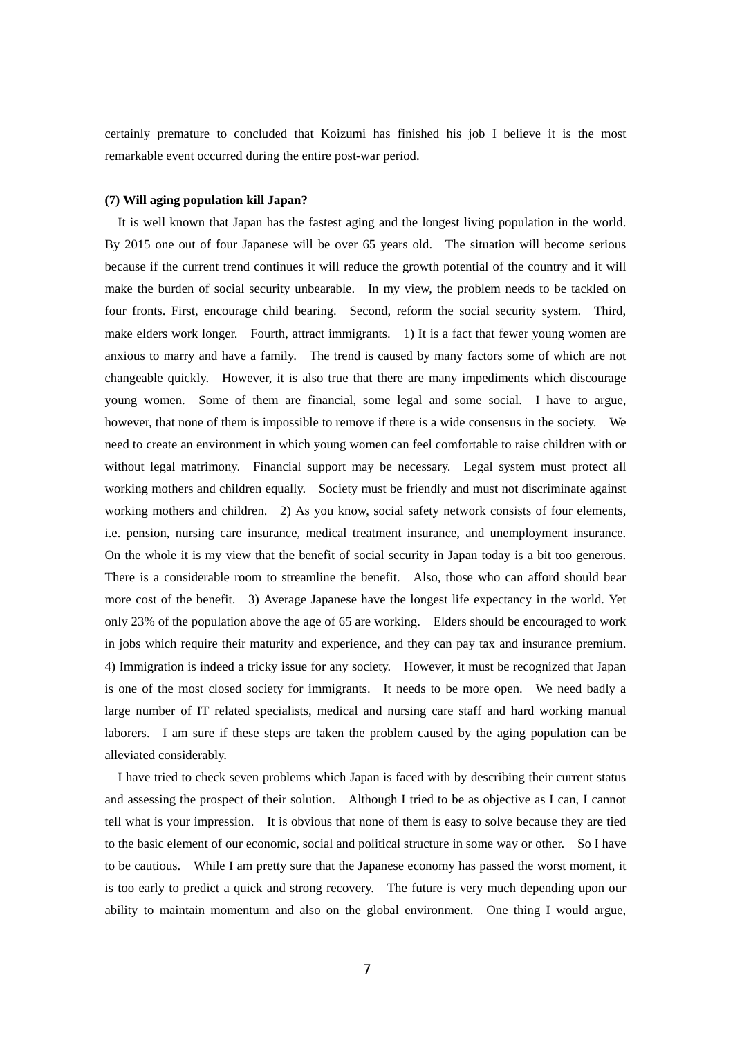certainly premature to concluded that Koizumi has finished his job I believe it is the most remarkable event occurred during the entire post-war period.

### **(7) Will aging population kill Japan?**

It is well known that Japan has the fastest aging and the longest living population in the world. By 2015 one out of four Japanese will be over 65 years old. The situation will become serious because if the current trend continues it will reduce the growth potential of the country and it will make the burden of social security unbearable. In my view, the problem needs to be tackled on four fronts. First, encourage child bearing. Second, reform the social security system. Third, make elders work longer. Fourth, attract immigrants. 1) It is a fact that fewer young women are anxious to marry and have a family. The trend is caused by many factors some of which are not changeable quickly. However, it is also true that there are many impediments which discourage young women. Some of them are financial, some legal and some social. I have to argue, however, that none of them is impossible to remove if there is a wide consensus in the society. We need to create an environment in which young women can feel comfortable to raise children with or without legal matrimony. Financial support may be necessary. Legal system must protect all working mothers and children equally. Society must be friendly and must not discriminate against working mothers and children. 2) As you know, social safety network consists of four elements, i.e. pension, nursing care insurance, medical treatment insurance, and unemployment insurance. On the whole it is my view that the benefit of social security in Japan today is a bit too generous. There is a considerable room to streamline the benefit. Also, those who can afford should bear more cost of the benefit. 3) Average Japanese have the longest life expectancy in the world. Yet only 23% of the population above the age of 65 are working. Elders should be encouraged to work in jobs which require their maturity and experience, and they can pay tax and insurance premium. 4) Immigration is indeed a tricky issue for any society. However, it must be recognized that Japan is one of the most closed society for immigrants. It needs to be more open. We need badly a large number of IT related specialists, medical and nursing care staff and hard working manual laborers. I am sure if these steps are taken the problem caused by the aging population can be alleviated considerably.

I have tried to check seven problems which Japan is faced with by describing their current status and assessing the prospect of their solution. Although I tried to be as objective as I can, I cannot tell what is your impression. It is obvious that none of them is easy to solve because they are tied to the basic element of our economic, social and political structure in some way or other. So I have to be cautious. While I am pretty sure that the Japanese economy has passed the worst moment, it is too early to predict a quick and strong recovery. The future is very much depending upon our ability to maintain momentum and also on the global environment. One thing I would argue,